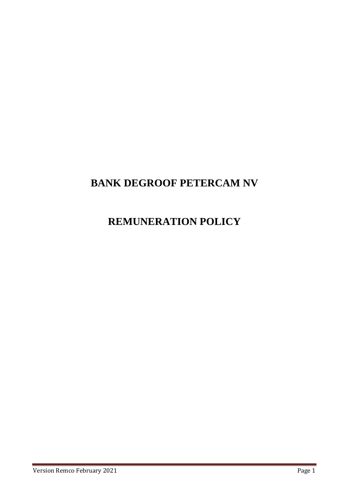# **BANK DEGROOF PETERCAM NV**

# **REMUNERATION POLICY**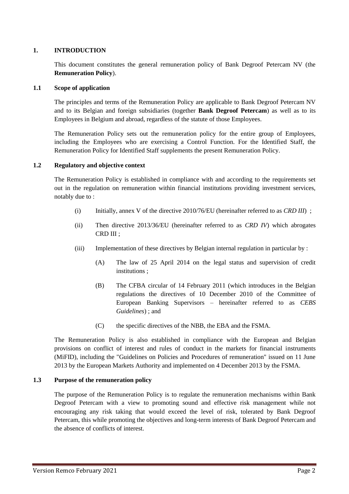## **1. INTRODUCTION**

This document constitutes the general remuneration policy of Bank Degroof Petercam NV (the **Remuneration Policy**).

#### **1.1 Scope of application**

The principles and terms of the Remuneration Policy are applicable to Bank Degroof Petercam NV and to its Belgian and foreign subsidiaries (together **Bank Degroof Petercam**) as well as to its Employees in Belgium and abroad, regardless of the statute of those Employees.

The Remuneration Policy sets out the remuneration policy for the entire group of Employees, including the Employees who are exercising a Control Function. For the Identified Staff, the Remuneration Policy for Identified Staff supplements the present Remuneration Policy.

#### **1.2 Regulatory and objective context**

The Remuneration Policy is established in compliance with and according to the requirements set out in the regulation on remuneration within financial institutions providing investment services, notably due to :

- (i) Initially, annex V of the directive 2010/76/EU (hereinafter referred to as *CRD III*) ;
- (ii) Then directive 2013/36/EU (hereinafter referred to as *CRD IV*) which abrogates CRD III ;
- (iii) Implementation of these directives by Belgian internal regulation in particular by :
	- (A) The law of 25 April 2014 on the legal status and supervision of credit institutions ;
	- (B) The CFBA circular of 14 February 2011 (which introduces in the Belgian regulations the directives of 10 December 2010 of the Committee of European Banking Supervisors – hereinafter referred to as *CEBS Guidelines*) ; and
	- (C) the specific directives of the NBB, the EBA and the FSMA.

The Remuneration Policy is also established in compliance with the European and Belgian provisions on conflict of interest and rules of conduct in the markets for financial instruments (MiFID), including the "Guidelines on Policies and Procedures of remuneration" issued on 11 June 2013 by the European Markets Authority and implemented on 4 December 2013 by the FSMA.

#### **1.3 Purpose of the remuneration policy**

The purpose of the Remuneration Policy is to regulate the remuneration mechanisms within Bank Degroof Petercam with a view to promoting sound and effective risk management while not encouraging any risk taking that would exceed the level of risk, tolerated by Bank Degroof Petercam, this while promoting the objectives and long-term interests of Bank Degroof Petercam and the absence of conflicts of interest.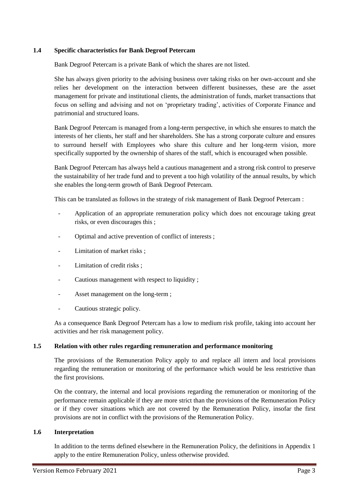### **1.4 Specific characteristics for Bank Degroof Petercam**

Bank Degroof Petercam is a private Bank of which the shares are not listed.

She has always given priority to the advising business over taking risks on her own-account and she relies her development on the interaction between different businesses, these are the asset management for private and institutional clients, the administration of funds, market transactions that focus on selling and advising and not on 'proprietary trading', activities of Corporate Finance and patrimonial and structured loans.

Bank Degroof Petercam is managed from a long-term perspective, in which she ensures to match the interests of her clients, her staff and her shareholders. She has a strong corporate culture and ensures to surround herself with Employees who share this culture and her long-term vision, more specifically supported by the ownership of shares of the staff, which is encouraged when possible.

Bank Degroof Petercam has always held a cautious management and a strong risk control to preserve the sustainability of her trade fund and to prevent a too high volatility of the annual results, by which she enables the long-term growth of Bank Degroof Petercam.

This can be translated as follows in the strategy of risk management of Bank Degroof Petercam :

- Application of an appropriate remuneration policy which does not encourage taking great risks, or even discourages this ;
- Optimal and active prevention of conflict of interests;
- Limitation of market risks;
- Limitation of credit risks :
- Cautious management with respect to liquidity;
- Asset management on the long-term ;
- Cautious strategic policy.

As a consequence Bank Degroof Petercam has a low to medium risk profile, taking into account her activities and her risk management policy.

#### **1.5 Relation with other rules regarding remuneration and performance monitoring**

The provisions of the Remuneration Policy apply to and replace all intern and local provisions regarding the remuneration or monitoring of the performance which would be less restrictive than the first provisions.

On the contrary, the internal and local provisions regarding the remuneration or monitoring of the performance remain applicable if they are more strict than the provisions of the Remuneration Policy or if they cover situations which are not covered by the Remuneration Policy, insofar the first provisions are not in conflict with the provisions of the Remuneration Policy.

#### **1.6 Interpretation**

In addition to the terms defined elsewhere in the Remuneration Policy, the definitions in Appendix 1 apply to the entire Remuneration Policy, unless otherwise provided.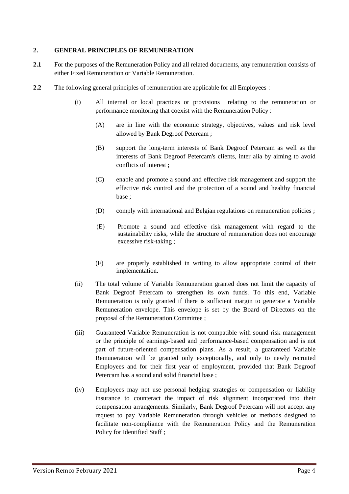### **2. GENERAL PRINCIPLES OF REMUNERATION**

- **2.1** For the purposes of the Remuneration Policy and all related documents, any remuneration consists of either Fixed Remuneration or Variable Remuneration.
- **2.2** The following general principles of remuneration are applicable for all Employees :
	- (i) All internal or local practices or provisions relating to the remuneration or performance monitoring that coexist with the Remuneration Policy :
		- (A) are in line with the economic strategy, objectives, values and risk level allowed by Bank Degroof Petercam ;
		- (B) support the long-term interests of Bank Degroof Petercam as well as the interests of Bank Degroof Petercam's clients, inter alia by aiming to avoid conflicts of interest ;
		- (C) enable and promote a sound and effective risk management and support the effective risk control and the protection of a sound and healthy financial base ;
		- (D) comply with international and Belgian regulations on remuneration policies ;
		- (E) Promote a sound and effective risk management with regard to the sustainability risks, while the structure of remuneration does not encourage excessive risk-taking ;
		- (F) are properly established in writing to allow appropriate control of their implementation.
	- (ii) The total volume of Variable Remuneration granted does not limit the capacity of Bank Degroof Petercam to strengthen its own funds. To this end, Variable Remuneration is only granted if there is sufficient margin to generate a Variable Remuneration envelope. This envelope is set by the Board of Directors on the proposal of the Remuneration Committee ;
	- (iii) Guaranteed Variable Remuneration is not compatible with sound risk management or the principle of earnings-based and performance-based compensation and is not part of future-oriented compensation plans. As a result, a guaranteed Variable Remuneration will be granted only exceptionally, and only to newly recruited Employees and for their first year of employment, provided that Bank Degroof Petercam has a sound and solid financial base ;
	- (iv) Employees may not use personal hedging strategies or compensation or liability insurance to counteract the impact of risk alignment incorporated into their compensation arrangements. Similarly, Bank Degroof Petercam will not accept any request to pay Variable Remuneration through vehicles or methods designed to facilitate non-compliance with the Remuneration Policy and the Remuneration Policy for Identified Staff ;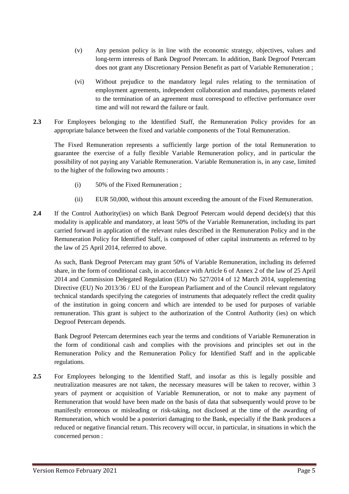- (v) Any pension policy is in line with the economic strategy, objectives, values and long-term interests of Bank Degroof Petercam. In addition, Bank Degroof Petercam does not grant any Discretionary Pension Benefit as part of Variable Remuneration ;
- (vi) Without prejudice to the mandatory legal rules relating to the termination of employment agreements, independent collaboration and mandates, payments related to the termination of an agreement must correspond to effective performance over time and will not reward the failure or fault.
- **2.3** For Employees belonging to the Identified Staff, the Remuneration Policy provides for an appropriate balance between the fixed and variable components of the Total Remuneration.

The Fixed Remuneration represents a sufficiently large portion of the total Remuneration to guarantee the exercise of a fully flexible Variable Remuneration policy, and in particular the possibility of not paying any Variable Remuneration. Variable Remuneration is, in any case, limited to the higher of the following two amounts :

- (i) 50% of the Fixed Remuneration ;
- (ii) EUR 50,000, without this amount exceeding the amount of the Fixed Remuneration.
- 2.4 If the Control Authority(ies) on which Bank Degroof Petercam would depend decide(s) that this modality is applicable and mandatory, at least 50% of the Variable Remuneration, including its part carried forward in application of the relevant rules described in the Remuneration Policy and in the Remuneration Policy for Identified Staff, is composed of other capital instruments as referred to by the law of 25 April 2014, referred to above.

As such, Bank Degroof Petercam may grant 50% of Variable Remuneration, including its deferred share, in the form of conditional cash, in accordance with Article 6 of Annex 2 of the law of 25 April 2014 and Commission Delegated Regulation (EU) No 527/2014 of 12 March 2014, supplementing Directive (EU) No 2013/36 / EU of the European Parliament and of the Council relevant regulatory technical standards specifying the categories of instruments that adequately reflect the credit quality of the institution in going concern and which are intended to be used for purposes of variable remuneration. This grant is subject to the authorization of the Control Authority (ies) on which Degroof Petercam depends.

Bank Degroof Petercam determines each year the terms and conditions of Variable Remuneration in the form of conditional cash and complies with the provisions and principles set out in the Remuneration Policy and the Remuneration Policy for Identified Staff and in the applicable regulations.

**2.5** For Employees belonging to the Identified Staff, and insofar as this is legally possible and neutralization measures are not taken, the necessary measures will be taken to recover, within 3 years of payment or acquisition of Variable Remuneration, or not to make any payment of Remuneration that would have been made on the basis of data that subsequently would prove to be manifestly erroneous or misleading or risk-taking, not disclosed at the time of the awarding of Remuneration, which would be a posteriori damaging to the Bank, especially if the Bank produces a reduced or negative financial return. This recovery will occur, in particular, in situations in which the concerned person :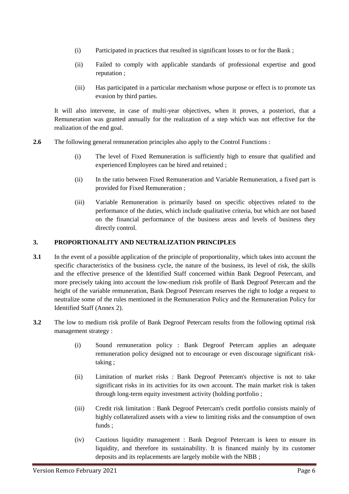- (i) Participated in practices that resulted in significant losses to or for the Bank ;
- (ii) Failed to comply with applicable standards of professional expertise and good reputation ;
- (iii) Has participated in a particular mechanism whose purpose or effect is to promote tax evasion by third parties.

It will also intervene, in case of multi-year objectives, when it proves, a posteriori, that a Remuneration was granted annually for the realization of a step which was not effective for the realization of the end goal.

- **2.6** The following general remuneration principles also apply to the Control Functions :
	- (i) The level of Fixed Remuneration is sufficiently high to ensure that qualified and experienced Employees can be hired and retained ;
	- (ii) In the ratio between Fixed Remuneration and Variable Remuneration, a fixed part is provided for Fixed Remuneration ;
	- (iii) Variable Remuneration is primarily based on specific objectives related to the performance of the duties, which include qualitative criteria, but which are not based on the financial performance of the business areas and levels of business they directly control.

## **3. PROPORTIONALITY AND NEUTRALIZATION PRINCIPLES**

- **3.1** In the event of a possible application of the principle of proportionality, which takes into account the specific characteristics of the business cycle, the nature of the business, its level of risk, the skills and the effective presence of the Identified Staff concerned within Bank Degroof Petercam, and more precisely taking into account the low-medium risk profile of Bank Degroof Petercam and the height of the variable remuneration, Bank Degroof Petercam reserves the right to lodge a request to neutralize some of the rules mentioned in the Remuneration Policy and the Remuneration Policy for Identified Staff (Annex 2).
- **3.2** The low to medium risk profile of Bank Degroof Petercam results from the following optimal risk management strategy :
	- (i) Sound remuneration policy : Bank Degroof Petercam applies an adequate remuneration policy designed not to encourage or even discourage significant risktaking ;
	- (ii) Limitation of market risks : Bank Degroof Petercam's objective is not to take significant risks in its activities for its own account. The main market risk is taken through long-term equity investment activity (holding portfolio ;
	- (iii) Credit risk limitation : Bank Degroof Petercam's credit portfolio consists mainly of highly collateralized assets with a view to limiting risks and the consumption of own funds ;
	- (iv) Cautious liquidity management : Bank Degroof Petercam is keen to ensure its liquidity, and therefore its sustainability. It is financed mainly by its customer deposits and its replacements are largely mobile with the NBB ;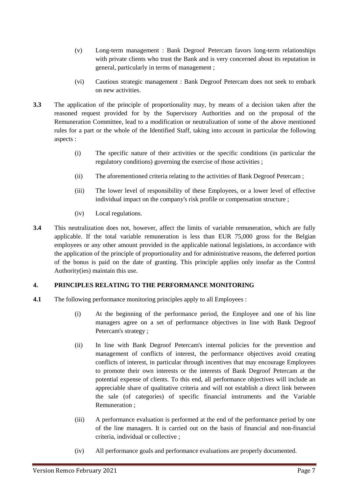- (v) Long-term management : Bank Degroof Petercam favors long-term relationships with private clients who trust the Bank and is very concerned about its reputation in general, particularly in terms of management ;
- (vi) Cautious strategic management : Bank Degroof Petercam does not seek to embark on new activities.
- **3.3** The application of the principle of proportionality may, by means of a decision taken after the reasoned request provided for by the Supervisory Authorities and on the proposal of the Remuneration Committee, lead to a modification or neutralization of some of the above mentioned rules for a part or the whole of the Identified Staff, taking into account in particular the following aspects :
	- (i) The specific nature of their activities or the specific conditions (in particular the regulatory conditions) governing the exercise of those activities ;
	- (ii) The aforementioned criteria relating to the activities of Bank Degroof Petercam ;
	- (iii) The lower level of responsibility of these Employees, or a lower level of effective individual impact on the company's risk profile or compensation structure ;
	- (iv) Local regulations.
- **3.4** This neutralization does not, however, affect the limits of variable remuneration, which are fully applicable. If the total variable remuneration is less than EUR 75,000 gross for the Belgian employees or any other amount provided in the applicable national legislations, in accordance with the application of the principle of proportionality and for administrative reasons, the deferred portion of the bonus is paid on the date of granting. This principle applies only insofar as the Control Authority(ies) maintain this use.

# **4. PRINCIPLES RELATING TO THE PERFORMANCE MONITORING**

- **4.1** The following performance monitoring principles apply to all Employees :
	- (i) At the beginning of the performance period, the Employee and one of his line managers agree on a set of performance objectives in line with Bank Degroof Petercam's strategy ;
	- (ii) In line with Bank Degroof Petercam's internal policies for the prevention and management of conflicts of interest, the performance objectives avoid creating conflicts of interest, in particular through incentives that may encourage Employees to promote their own interests or the interests of Bank Degroof Petercam at the potential expense of clients. To this end, all performance objectives will include an appreciable share of qualitative criteria and will not establish a direct link between the sale (of categories) of specific financial instruments and the Variable Remuneration ;
	- (iii) A performance evaluation is performed at the end of the performance period by one of the line managers. It is carried out on the basis of financial and non-financial criteria, individual or collective ;
	- (iv) All performance goals and performance evaluations are properly documented.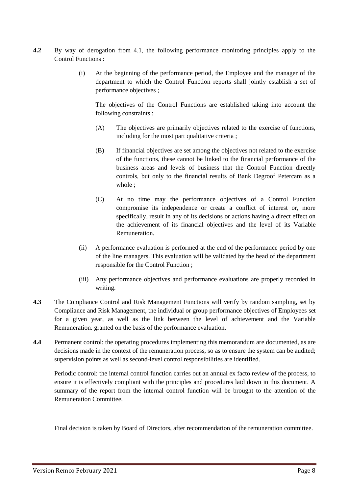- **4.2** By way of derogation from 4.1, the following performance monitoring principles apply to the Control Functions :
	- (i) At the beginning of the performance period, the Employee and the manager of the department to which the Control Function reports shall jointly establish a set of performance objectives ;

The objectives of the Control Functions are established taking into account the following constraints :

- (A) The objectives are primarily objectives related to the exercise of functions, including for the most part qualitative criteria ;
- (B) If financial objectives are set among the objectives not related to the exercise of the functions, these cannot be linked to the financial performance of the business areas and levels of business that the Control Function directly controls, but only to the financial results of Bank Degroof Petercam as a whole ;
- (C) At no time may the performance objectives of a Control Function compromise its independence or create a conflict of interest or, more specifically, result in any of its decisions or actions having a direct effect on the achievement of its financial objectives and the level of its Variable Remuneration.
- (ii) A performance evaluation is performed at the end of the performance period by one of the line managers. This evaluation will be validated by the head of the department responsible for the Control Function ;
- (iii) Any performance objectives and performance evaluations are properly recorded in writing.
- **4.3** The Compliance Control and Risk Management Functions will verify by random sampling, set by Compliance and Risk Management, the individual or group performance objectives of Employees set for a given year, as well as the link between the level of achievement and the Variable Remuneration. granted on the basis of the performance evaluation.
- **4.4** Permanent control: the operating procedures implementing this memorandum are documented, as are decisions made in the context of the remuneration process, so as to ensure the system can be audited; supervision points as well as second-level control responsibilities are identified.

Periodic control: the internal control function carries out an annual ex facto review of the process, to ensure it is effectively compliant with the principles and procedures laid down in this document. A summary of the report from the internal control function will be brought to the attention of the Remuneration Committee.

Final decision is taken by Board of Directors, after recommendation of the remuneration committee.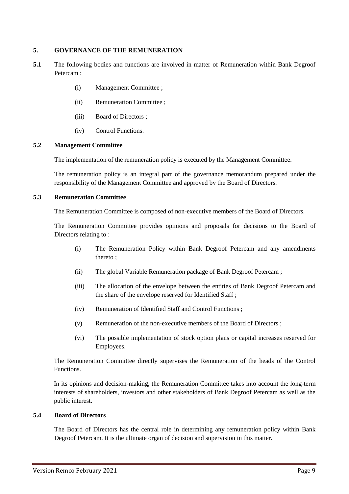### **5. GOVERNANCE OF THE REMUNERATION**

- **5.1** The following bodies and functions are involved in matter of Remuneration within Bank Degroof Petercam :
	- (i) Management Committee ;
	- (ii) Remuneration Committee ;
	- (iii) Board of Directors ;
	- (iv) Control Functions.

#### **5.2 Management Committee**

The implementation of the remuneration policy is executed by the Management Committee.

The remuneration policy is an integral part of the governance memorandum prepared under the responsibility of the Management Committee and approved by the Board of Directors.

# **5.3 Remuneration Committee**

The Remuneration Committee is composed of non-executive members of the Board of Directors.

The Remuneration Committee provides opinions and proposals for decisions to the Board of Directors relating to :

- (i) The Remuneration Policy within Bank Degroof Petercam and any amendments thereto ;
- (ii) The global Variable Remuneration package of Bank Degroof Petercam ;
- (iii) The allocation of the envelope between the entities of Bank Degroof Petercam and the share of the envelope reserved for Identified Staff ;
- (iv) Remuneration of Identified Staff and Control Functions ;
- (v) Remuneration of the non-executive members of the Board of Directors ;
- (vi) The possible implementation of stock option plans or capital increases reserved for Employees.

The Remuneration Committee directly supervises the Remuneration of the heads of the Control Functions.

In its opinions and decision-making, the Remuneration Committee takes into account the long-term interests of shareholders, investors and other stakeholders of Bank Degroof Petercam as well as the public interest.

#### **5.4 Board of Directors**

The Board of Directors has the central role in determining any remuneration policy within Bank Degroof Petercam. It is the ultimate organ of decision and supervision in this matter.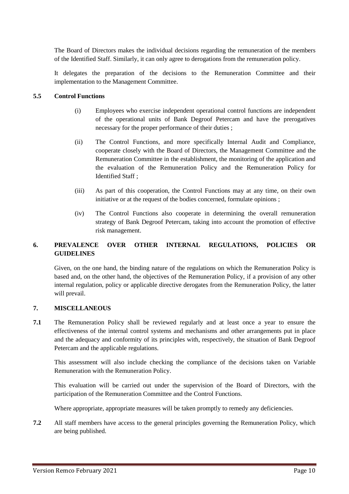The Board of Directors makes the individual decisions regarding the remuneration of the members of the Identified Staff. Similarly, it can only agree to derogations from the remuneration policy.

It delegates the preparation of the decisions to the Remuneration Committee and their implementation to the Management Committee.

#### **5.5 Control Functions**

- (i) Employees who exercise independent operational control functions are independent of the operational units of Bank Degroof Petercam and have the prerogatives necessary for the proper performance of their duties ;
- (ii) The Control Functions, and more specifically Internal Audit and Compliance, cooperate closely with the Board of Directors, the Management Committee and the Remuneration Committee in the establishment, the monitoring of the application and the evaluation of the Remuneration Policy and the Remuneration Policy for Identified Staff ;
- (iii) As part of this cooperation, the Control Functions may at any time, on their own initiative or at the request of the bodies concerned, formulate opinions ;
- (iv) The Control Functions also cooperate in determining the overall remuneration strategy of Bank Degroof Petercam, taking into account the promotion of effective risk management.

## **6. PREVALENCE OVER OTHER INTERNAL REGULATIONS, POLICIES OR GUIDELINES**

Given, on the one hand, the binding nature of the regulations on which the Remuneration Policy is based and, on the other hand, the objectives of the Remuneration Policy, if a provision of any other internal regulation, policy or applicable directive derogates from the Remuneration Policy, the latter will prevail.

#### **7. MISCELLANEOUS**

**7.1** The Remuneration Policy shall be reviewed regularly and at least once a year to ensure the effectiveness of the internal control systems and mechanisms and other arrangements put in place and the adequacy and conformity of its principles with, respectively, the situation of Bank Degroof Petercam and the applicable regulations.

This assessment will also include checking the compliance of the decisions taken on Variable Remuneration with the Remuneration Policy.

This evaluation will be carried out under the supervision of the Board of Directors, with the participation of the Remuneration Committee and the Control Functions.

Where appropriate, appropriate measures will be taken promptly to remedy any deficiencies.

**7.2** All staff members have access to the general principles governing the Remuneration Policy, which are being published.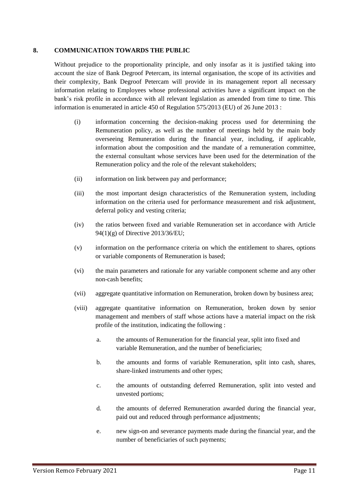#### **8. COMMUNICATION TOWARDS THE PUBLIC**

Without prejudice to the proportionality principle, and only insofar as it is justified taking into account the size of Bank Degroof Petercam, its internal organisation, the scope of its activities and their complexity, Bank Degroof Petercam will provide in its management report all necessary information relating to Employees whose professional activities have a significant impact on the bank's risk profile in accordance with all relevant legislation as amended from time to time. This information is enumerated in article 450 of Regulation 575/2013 (EU) of 26 June 2013 :

- (i) information concerning the decision-making process used for determining the Remuneration policy, as well as the number of meetings held by the main body overseeing Remuneration during the financial year, including, if applicable, information about the composition and the mandate of a remuneration committee, the external consultant whose services have been used for the determination of the Remuneration policy and the role of the relevant stakeholders;
- (ii) information on link between pay and performance;
- (iii) the most important design characteristics of the Remuneration system, including information on the criteria used for performance measurement and risk adjustment, deferral policy and vesting criteria;
- (iv) the ratios between fixed and variable Remuneration set in accordance with Article 94(1)(g) of Directive 2013/36/EU;
- (v) information on the performance criteria on which the entitlement to shares, options or variable components of Remuneration is based;
- (vi) the main parameters and rationale for any variable component scheme and any other non-cash benefits;
- (vii) aggregate quantitative information on Remuneration, broken down by business area;
- (viii) aggregate quantitative information on Remuneration, broken down by senior management and members of staff whose actions have a material impact on the risk profile of the institution, indicating the following :
	- a. the amounts of Remuneration for the financial year, split into fixed and variable Remuneration, and the number of beneficiaries;
	- b. the amounts and forms of variable Remuneration, split into cash, shares, share-linked instruments and other types;
	- c. the amounts of outstanding deferred Remuneration, split into vested and unvested portions;
	- d. the amounts of deferred Remuneration awarded during the financial year, paid out and reduced through performance adjustments;
	- e. new sign-on and severance payments made during the financial year, and the number of beneficiaries of such payments;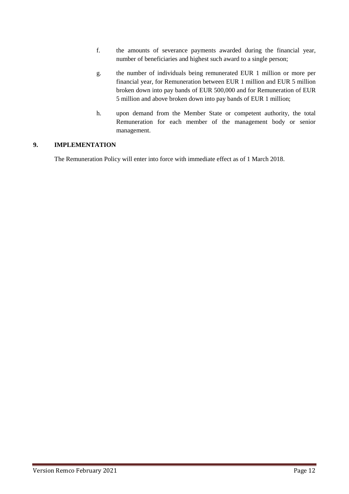- f. the amounts of severance payments awarded during the financial year, number of beneficiaries and highest such award to a single person;
- g. the number of individuals being remunerated EUR 1 million or more per financial year, for Remuneration between EUR 1 million and EUR 5 million broken down into pay bands of EUR 500,000 and for Remuneration of EUR 5 million and above broken down into pay bands of EUR 1 million;
- h. upon demand from the Member State or competent authority, the total Remuneration for each member of the management body or senior management.

# **9. IMPLEMENTATION**

The Remuneration Policy will enter into force with immediate effect as of 1 March 2018.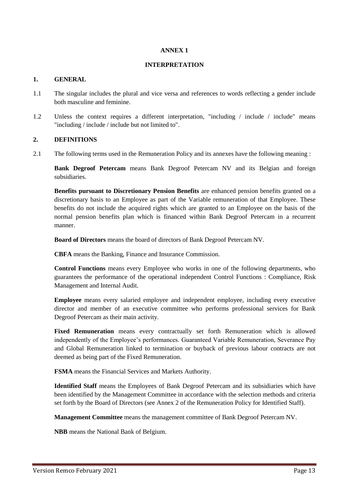#### **ANNEX 1**

#### **INTERPRETATION**

#### **1. GENERAL**

- 1.1 The singular includes the plural and vice versa and references to words reflecting a gender include both masculine and feminine.
- 1.2 Unless the context requires a different interpretation, "including / include / include" means "including / include / include but not limited to".

#### **2. DEFINITIONS**

2.1 The following terms used in the Remuneration Policy and its annexes have the following meaning :

**Bank Degroof Petercam** means Bank Degroof Petercam NV and its Belgian and foreign subsidiaries.

**Benefits pursuant to Discretionary Pension Benefits** are enhanced pension benefits granted on a discretionary basis to an Employee as part of the Variable remuneration of that Employee. These benefits do not include the acquired rights which are granted to an Employee on the basis of the normal pension benefits plan which is financed within Bank Degroof Petercam in a recurrent manner.

**Board of Directors** means the board of directors of Bank Degroof Petercam NV.

**CBFA** means the Banking, Finance and Insurance Commission.

**Control Functions** means every Employee who works in one of the following departments, who guarantees the performance of the operational independent Control Functions : Compliance, Risk Management and Internal Audit.

**Employee** means every salaried employee and independent employee, including every executive director and member of an executive committee who performs professional services for Bank Degroof Petercam as their main activity.

**Fixed Remuneration** means every contractually set forth Remuneration which is allowed independently of the Employee's performances. Guaranteed Variable Remuneration, Severance Pay and Global Remuneration linked to termination or buyback of previous labour contracts are not deemed as being part of the Fixed Remuneration.

**FSMA** means the Financial Services and Markets Authority.

**Identified Staff** means the Employees of Bank Degroof Petercam and its subsidiaries which have been identified by the Management Committee in accordance with the selection methods and criteria set forth by the Board of Directors (see Annex 2 of the Remuneration Policy for Identified Staff).

**Management Committee** means the management committee of Bank Degroof Petercam NV.

**NBB** means the National Bank of Belgium.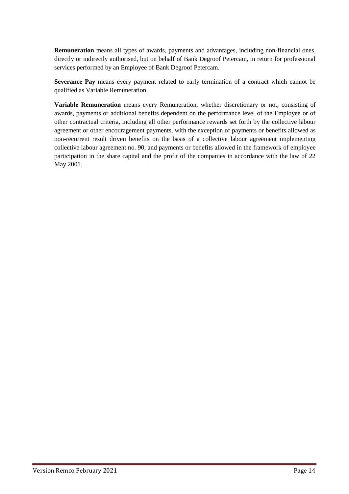**Remuneration** means all types of awards, payments and advantages, including non-financial ones, directly or indirectly authorised, but on behalf of Bank Degroof Petercam, in return for professional services performed by an Employee of Bank Degroof Petercam.

**Severance Pay** means every payment related to early termination of a contract which cannot be qualified as Variable Remuneration.

**Variable Remuneration** means every Remuneration, whether discretionary or not, consisting of awards, payments or additional benefits dependent on the performance level of the Employee or of other contractual criteria, including all other performance rewards set forth by the collective labour agreement or other encouragement payments, with the exception of payments or benefits allowed as non-recurrent result driven benefits on the basis of a collective labour agreement implementing collective labour agreement no. 90, and payments or benefits allowed in the framework of employee participation in the share capital and the profit of the companies in accordance with the law of 22 May 2001.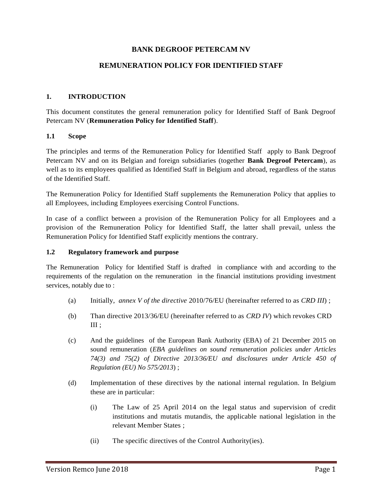# **BANK DEGROOF PETERCAM NV**

## **REMUNERATION POLICY FOR IDENTIFIED STAFF**

#### **1. INTRODUCTION**

This document constitutes the general remuneration policy for Identified Staff of Bank Degroof Petercam NV (**Remuneration Policy for Identified Staff**).

#### **1.1 Scope**

The principles and terms of the Remuneration Policy for Identified Staff apply to Bank Degroof Petercam NV and on its Belgian and foreign subsidiaries (together **Bank Degroof Petercam**), as well as to its employees qualified as Identified Staff in Belgium and abroad, regardless of the status of the Identified Staff.

The Remuneration Policy for Identified Staff supplements the Remuneration Policy that applies to all Employees, including Employees exercising Control Functions.

In case of a conflict between a provision of the Remuneration Policy for all Employees and a provision of the Remuneration Policy for Identified Staff, the latter shall prevail, unless the Remuneration Policy for Identified Staff explicitly mentions the contrary.

#### **1.2 Regulatory framework and purpose**

The Remuneration Policy for Identified Staff is drafted in compliance with and according to the requirements of the regulation on the remuneration in the financial institutions providing investment services, notably due to :

- (a) Initially, *annex V of the directive* 2010/76/EU (hereinafter referred to as *CRD III*) ;
- (b) Than directive 2013/36/EU (hereinafter referred to as *CRD IV*) which revokes CRD III ;
- (c) And the guidelines of the European Bank Authority (EBA) of 21 December 2015 on sound remuneration (*EBA guidelines on sound remuneration policies under Articles 74(3) and 75(2) of Directive 2013/36/EU and disclosures under Article 450 of Regulation (EU) No 575/2013*) ;
- (d) Implementation of these directives by the national internal regulation. In Belgium these are in particular:
	- (i) The Law of 25 April 2014 on the legal status and supervision of credit institutions and mutatis mutandis, the applicable national legislation in the relevant Member States ;
	- (ii) The specific directives of the Control Authority(ies).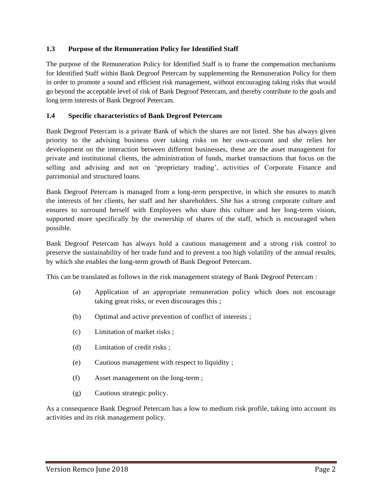## **1.3 Purpose of the Remuneration Policy for Identified Staff**

The purpose of the Remuneration Policy for Identified Staff is to frame the compensation mechanisms for Identified Staff within Bank Degroof Petercam by supplementing the Remuneration Policy for them in order to promote a sound and efficient risk management, without encouraging taking risks that would go beyond the acceptable level of risk of Bank Degroof Petercam, and thereby contribute to the goals and long term interests of Bank Degroof Petercam.

## **1.4 Specific characteristics of Bank Degroof Petercam**

Bank Degroof Petercam is a private Bank of which the shares are not listed. She has always given priority to the advising business over taking risks on her own-account and she relies her development on the interaction between different businesses, these are the asset management for private and institutional clients, the administration of funds, market transactions that focus on the selling and advising and not on 'proprietary trading', activities of Corporate Finance and patrimonial and structured loans.

Bank Degroof Petercam is managed from a long-term perspective, in which she ensures to match the interests of her clients, her staff and her shareholders. She has a strong corporate culture and ensures to surround herself with Employees who share this culture and her long-term vision, supported more specifically by the ownership of shares of the staff, which is encouraged when possible.

Bank Degroof Petercam has always hold a cautious management and a strong risk control to preserve the sustainability of her trade fund and to prevent a too high volatility of the annual results, by which she enables the long-term growth of Bank Degroof Petercam.

This can be translated as follows in the risk management strategy of Bank Degroof Petercam :

- (a) Application of an appropriate remuneration policy which does not encourage taking great risks, or even discourages this ;
- (b) Optimal and active prevention of conflict of interests ;
- (c) Limitation of market risks ;
- (d) Limitation of credit risks ;
- (e) Cautious management with respect to liquidity ;
- (f) Asset management on the long-term ;
- (g) Cautious strategic policy.

As a consequence Bank Degroof Petercam has a low to medium risk profile, taking into account its activities and its risk management policy.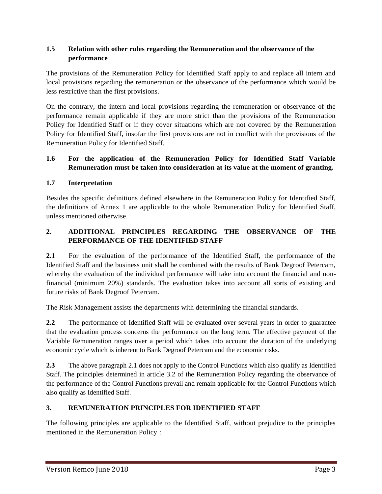# **1.5 Relation with other rules regarding the Remuneration and the observance of the performance**

The provisions of the Remuneration Policy for Identified Staff apply to and replace all intern and local provisions regarding the remuneration or the observance of the performance which would be less restrictive than the first provisions.

On the contrary, the intern and local provisions regarding the remuneration or observance of the performance remain applicable if they are more strict than the provisions of the Remuneration Policy for Identified Staff or if they cover situations which are not covered by the Remuneration Policy for Identified Staff, insofar the first provisions are not in conflict with the provisions of the Remuneration Policy for Identified Staff.

# **1.6 For the application of the Remuneration Policy for Identified Staff Variable Remuneration must be taken into consideration at its value at the moment of granting.**

# **1.7 Interpretation**

Besides the specific definitions defined elsewhere in the Remuneration Policy for Identified Staff, the definitions of Annex 1 are applicable to the whole Remuneration Policy for Identified Staff, unless mentioned otherwise.

# **2. ADDITIONAL PRINCIPLES REGARDING THE OBSERVANCE OF THE PERFORMANCE OF THE IDENTIFIED STAFF**

**2.1** For the evaluation of the performance of the Identified Staff, the performance of the Identified Staff and the business unit shall be combined with the results of Bank Degroof Petercam, whereby the evaluation of the individual performance will take into account the financial and nonfinancial (minimum 20%) standards. The evaluation takes into account all sorts of existing and future risks of Bank Degroof Petercam.

The Risk Management assists the departments with determining the financial standards.

**2.2** The performance of Identified Staff will be evaluated over several years in order to guarantee that the evaluation process concerns the performance on the long term. The effective payment of the Variable Remuneration ranges over a period which takes into account the duration of the underlying economic cycle which is inherent to Bank Degroof Petercam and the economic risks.

**2.3** The above paragraph 2.1 does not apply to the Control Functions which also qualify as Identified Staff. The principles determined in article 3.2 of the Remuneration Policy regarding the observance of the performance of the Control Functions prevail and remain applicable for the Control Functions which also qualify as Identified Staff.

# **3. REMUNERATION PRINCIPLES FOR IDENTIFIED STAFF**

The following principles are applicable to the Identified Staff, without prejudice to the principles mentioned in the Remuneration Policy :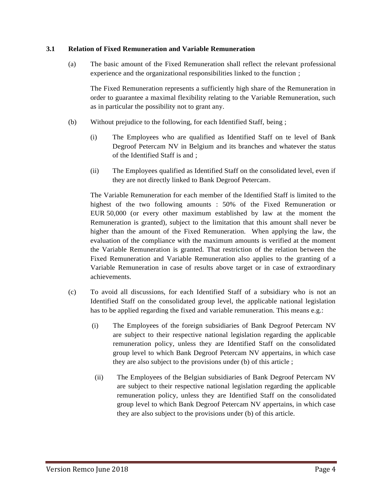#### **3.1 Relation of Fixed Remuneration and Variable Remuneration**

(a) The basic amount of the Fixed Remuneration shall reflect the relevant professional experience and the organizational responsibilities linked to the function ;

The Fixed Remuneration represents a sufficiently high share of the Remuneration in order to guarantee a maximal flexibility relating to the Variable Remuneration, such as in particular the possibility not to grant any.

- (b) Without prejudice to the following, for each Identified Staff, being ;
	- (i) The Employees who are qualified as Identified Staff on te level of Bank Degroof Petercam NV in Belgium and its branches and whatever the status of the Identified Staff is and ;
	- (ii) The Employees qualified as Identified Staff on the consolidated level, even if they are not directly linked to Bank Degroof Petercam.

The Variable Remuneration for each member of the Identified Staff is limited to the highest of the two following amounts : 50% of the Fixed Remuneration or EUR 50,000 (or every other maximum established by law at the moment the Remuneration is granted), subject to the limitation that this amount shall never be higher than the amount of the Fixed Remuneration. When applying the law, the evaluation of the compliance with the maximum amounts is verified at the moment the Variable Remuneration is granted. That restriction of the relation between the Fixed Remuneration and Variable Remuneration also applies to the granting of a Variable Remuneration in case of results above target or in case of extraordinary achievements.

- (c) To avoid all discussions, for each Identified Staff of a subsidiary who is not an Identified Staff on the consolidated group level, the applicable national legislation has to be applied regarding the fixed and variable remuneration. This means e.g.:
	- (i) The Employees of the foreign subsidiaries of Bank Degroof Petercam NV are subject to their respective national legislation regarding the applicable remuneration policy, unless they are Identified Staff on the consolidated group level to which Bank Degroof Petercam NV appertains, in which case they are also subject to the provisions under (b) of this article ;
	- (ii) The Employees of the Belgian subsidiaries of Bank Degroof Petercam NV are subject to their respective national legislation regarding the applicable remuneration policy, unless they are Identified Staff on the consolidated group level to which Bank Degroof Petercam NV appertains, in which case they are also subject to the provisions under (b) of this article.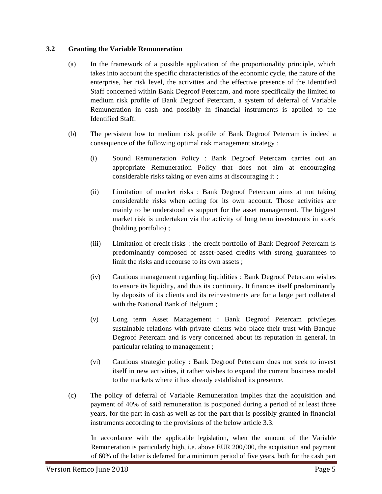## **3.2 Granting the Variable Remuneration**

- (a) In the framework of a possible application of the proportionality principle, which takes into account the specific characteristics of the economic cycle, the nature of the enterprise, her risk level, the activities and the effective presence of the Identified Staff concerned within Bank Degroof Petercam, and more specifically the limited to medium risk profile of Bank Degroof Petercam, a system of deferral of Variable Remuneration in cash and possibly in financial instruments is applied to the Identified Staff.
- (b) The persistent low to medium risk profile of Bank Degroof Petercam is indeed a consequence of the following optimal risk management strategy :
	- (i) Sound Remuneration Policy : Bank Degroof Petercam carries out an appropriate Remuneration Policy that does not aim at encouraging considerable risks taking or even aims at discouraging it ;
	- (ii) Limitation of market risks : Bank Degroof Petercam aims at not taking considerable risks when acting for its own account. Those activities are mainly to be understood as support for the asset management. The biggest market risk is undertaken via the activity of long term investments in stock (holding portfolio) ;
	- (iii) Limitation of credit risks : the credit portfolio of Bank Degroof Petercam is predominantly composed of asset-based credits with strong guarantees to limit the risks and recourse to its own assets ;
	- (iv) Cautious management regarding liquidities : Bank Degroof Petercam wishes to ensure its liquidity, and thus its continuity. It finances itself predominantly by deposits of its clients and its reinvestments are for a large part collateral with the National Bank of Belgium ;
	- (v) Long term Asset Management : Bank Degroof Petercam privileges sustainable relations with private clients who place their trust with Banque Degroof Petercam and is very concerned about its reputation in general, in particular relating to management ;
	- (vi) Cautious strategic policy : Bank Degroof Petercam does not seek to invest itself in new activities, it rather wishes to expand the current business model to the markets where it has already established its presence.
- (c) The policy of deferral of Variable Remuneration implies that the acquisition and payment of 40% of said remuneration is postponed during a period of at least three years, for the part in cash as well as for the part that is possibly granted in financial instruments according to the provisions of the below article 3.3.

In accordance with the applicable legislation, when the amount of the Variable Remuneration is particularly high, i.e. above EUR 200,000, the acquisition and payment of 60% of the latter is deferred for a minimum period of five years, both for the cash part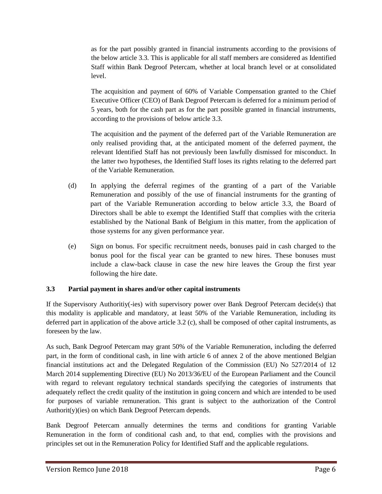as for the part possibly granted in financial instruments according to the provisions of the below article 3.3. This is applicable for all staff members are considered as Identified Staff within Bank Degroof Petercam, whether at local branch level or at consolidated level.

The acquisition and payment of 60% of Variable Compensation granted to the Chief Executive Officer (CEO) of Bank Degroof Petercam is deferred for a minimum period of 5 years, both for the cash part as for the part possible granted in financial instruments, according to the provisions of below article 3.3.

The acquisition and the payment of the deferred part of the Variable Remuneration are only realised providing that, at the anticipated moment of the deferred payment, the relevant Identified Staff has not previously been lawfully dismissed for misconduct. In the latter two hypotheses, the Identified Staff loses its rights relating to the deferred part of the Variable Remuneration.

- (d) In applying the deferral regimes of the granting of a part of the Variable Remuneration and possibly of the use of financial instruments for the granting of part of the Variable Remuneration according to below article 3.3, the Board of Directors shall be able to exempt the Identified Staff that complies with the criteria established by the National Bank of Belgium in this matter, from the application of those systems for any given performance year.
- (e) Sign on bonus. For specific recruitment needs, bonuses paid in cash charged to the bonus pool for the fiscal year can be granted to new hires. These bonuses must include a claw-back clause in case the new hire leaves the Group the first year following the hire date.

# **3.3 Partial payment in shares and/or other capital instruments**

If the Supervisory Authoritiy(-ies) with supervisory power over Bank Degroof Petercam decide(s) that this modality is applicable and mandatory, at least 50% of the Variable Remuneration, including its deferred part in application of the above article 3.2 (c), shall be composed of other capital instruments, as foreseen by the law.

As such, Bank Degroof Petercam may grant 50% of the Variable Remuneration, including the deferred part, in the form of conditional cash, in line with article 6 of annex 2 of the above mentioned Belgian financial institutions act and the Delegated Regulation of the Commission (EU) No 527/2014 of 12 March 2014 supplementing Directive (EU) No 2013/36/EU of the European Parliament and the Council with regard to relevant regulatory technical standards specifying the categories of instruments that adequately reflect the credit quality of the institution in going concern and which are intended to be used for purposes of variable remuneration. This grant is subject to the authorization of the Control Authorit(y)(ies) on which Bank Degroof Petercam depends.

Bank Degroof Petercam annually determines the terms and conditions for granting Variable Remuneration in the form of conditional cash and, to that end, complies with the provisions and principles set out in the Remuneration Policy for Identified Staff and the applicable regulations.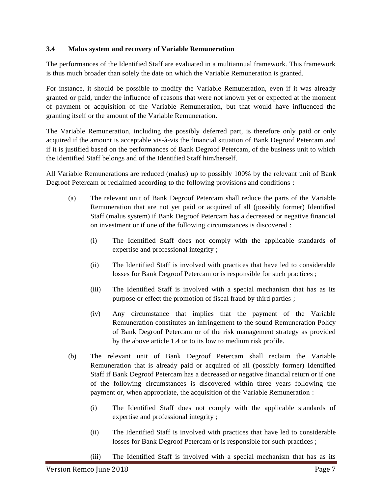## **3.4 Malus system and recovery of Variable Remuneration**

The performances of the Identified Staff are evaluated in a multiannual framework. This framework is thus much broader than solely the date on which the Variable Remuneration is granted.

For instance, it should be possible to modify the Variable Remuneration, even if it was already granted or paid, under the influence of reasons that were not known yet or expected at the moment of payment or acquisition of the Variable Remuneration, but that would have influenced the granting itself or the amount of the Variable Remuneration.

The Variable Remuneration, including the possibly deferred part, is therefore only paid or only acquired if the amount is acceptable vis-à-vis the financial situation of Bank Degroof Petercam and if it is justified based on the performances of Bank Degroof Petercam, of the business unit to which the Identified Staff belongs and of the Identified Staff him/herself.

All Variable Remunerations are reduced (malus) up to possibly 100% by the relevant unit of Bank Degroof Petercam or reclaimed according to the following provisions and conditions :

- (a) The relevant unit of Bank Degroof Petercam shall reduce the parts of the Variable Remuneration that are not yet paid or acquired of all (possibly former) Identified Staff (malus system) if Bank Degroof Petercam has a decreased or negative financial on investment or if one of the following circumstances is discovered :
	- (i) The Identified Staff does not comply with the applicable standards of expertise and professional integrity ;
	- (ii) The Identified Staff is involved with practices that have led to considerable losses for Bank Degroof Petercam or is responsible for such practices ;
	- (iii) The Identified Staff is involved with a special mechanism that has as its purpose or effect the promotion of fiscal fraud by third parties ;
	- (iv) Any circumstance that implies that the payment of the Variable Remuneration constitutes an infringement to the sound Remuneration Policy of Bank Degroof Petercam or of the risk management strategy as provided by the above article 1.4 or to its low to medium risk profile.
- (b) The relevant unit of Bank Degroof Petercam shall reclaim the Variable Remuneration that is already paid or acquired of all (possibly former) Identified Staff if Bank Degroof Petercam has a decreased or negative financial return or if one of the following circumstances is discovered within three years following the payment or, when appropriate, the acquisition of the Variable Remuneration :
	- (i) The Identified Staff does not comply with the applicable standards of expertise and professional integrity ;
	- (ii) The Identified Staff is involved with practices that have led to considerable losses for Bank Degroof Petercam or is responsible for such practices ;
	- (iii) The Identified Staff is involved with a special mechanism that has as its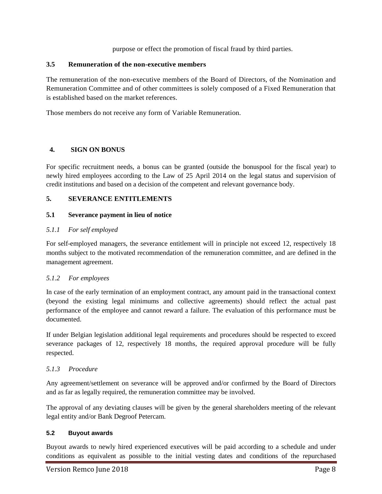purpose or effect the promotion of fiscal fraud by third parties.

## **3.5 Remuneration of the non-executive members**

The remuneration of the non-executive members of the Board of Directors, of the Nomination and Remuneration Committee and of other committees is solely composed of a Fixed Remuneration that is established based on the market references.

Those members do not receive any form of Variable Remuneration.

# **4. SIGN ON BONUS**

For specific recruitment needs, a bonus can be granted (outside the bonuspool for the fiscal year) to newly hired employees according to the Law of 25 April 2014 on the legal status and supervision of credit institutions and based on a decision of the competent and relevant governance body.

# **5. SEVERANCE ENTITLEMENTS**

## **5.1 Severance payment in lieu of notice**

# *5.1.1 For self employed*

For self-employed managers, the severance entitlement will in principle not exceed 12, respectively 18 months subject to the motivated recommendation of the remuneration committee, and are defined in the management agreement.

## *5.1.2 For employees*

In case of the early termination of an employment contract, any amount paid in the transactional context (beyond the existing legal minimums and collective agreements) should reflect the actual past performance of the employee and cannot reward a failure. The evaluation of this performance must be documented.

If under Belgian legislation additional legal requirements and procedures should be respected to exceed severance packages of 12, respectively 18 months, the required approval procedure will be fully respected.

## *5.1.3 Procedure*

Any agreement/settlement on severance will be approved and/or confirmed by the Board of Directors and as far as legally required, the remuneration committee may be involved.

The approval of any deviating clauses will be given by the general shareholders meeting of the relevant legal entity and/or Bank Degroof Petercam.

## **5.2 Buyout awards**

Buyout awards to newly hired experienced executives will be paid according to a schedule and under conditions as equivalent as possible to the initial vesting dates and conditions of the repurchased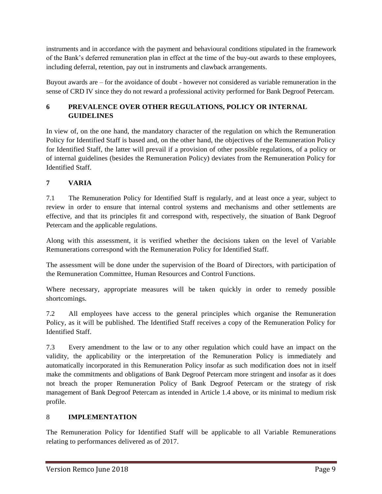instruments and in accordance with the payment and behavioural conditions stipulated in the framework of the Bank's deferred remuneration plan in effect at the time of the buy-out awards to these employees, including deferral, retention, pay out in instruments and clawback arrangements.

Buyout awards are – for the avoidance of doubt - however not considered as variable remuneration in the sense of CRD IV since they do not reward a professional activity performed for Bank Degroof Petercam.

# **6 PREVALENCE OVER OTHER REGULATIONS, POLICY OR INTERNAL GUIDELINES**

In view of, on the one hand, the mandatory character of the regulation on which the Remuneration Policy for Identified Staff is based and, on the other hand, the objectives of the Remuneration Policy for Identified Staff, the latter will prevail if a provision of other possible regulations, of a policy or of internal guidelines (besides the Remuneration Policy) deviates from the Remuneration Policy for Identified Staff.

# **7 VARIA**

7.1 The Remuneration Policy for Identified Staff is regularly, and at least once a year, subject to review in order to ensure that internal control systems and mechanisms and other settlements are effective, and that its principles fit and correspond with, respectively, the situation of Bank Degroof Petercam and the applicable regulations.

Along with this assessment, it is verified whether the decisions taken on the level of Variable Remunerations correspond with the Remuneration Policy for Identified Staff.

The assessment will be done under the supervision of the Board of Directors, with participation of the Remuneration Committee, Human Resources and Control Functions.

Where necessary, appropriate measures will be taken quickly in order to remedy possible shortcomings.

7.2 All employees have access to the general principles which organise the Remuneration Policy, as it will be published. The Identified Staff receives a copy of the Remuneration Policy for Identified Staff.

7.3 Every amendment to the law or to any other regulation which could have an impact on the validity, the applicability or the interpretation of the Remuneration Policy is immediately and automatically incorporated in this Remuneration Policy insofar as such modification does not in itself make the commitments and obligations of Bank Degroof Petercam more stringent and insofar as it does not breach the proper Remuneration Policy of Bank Degroof Petercam or the strategy of risk management of Bank Degroof Petercam as intended in Article 1.4 above, or its minimal to medium risk profile.

# 8 **IMPLEMENTATION**

The Remuneration Policy for Identified Staff will be applicable to all Variable Remunerations relating to performances delivered as of 2017.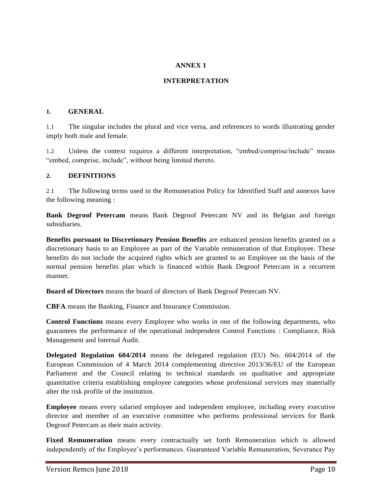## **ANNEX 1**

# **INTERPRETATION**

#### **1. GENERAL**

1.1 The singular includes the plural and vice versa, and references to words illustrating gender imply both male and female.

1.2 Unless the context requires a different interpretation, "embed/comprise/include" means "embed, comprise, include", without being limited thereto.

#### **2. DEFINITIONS**

2.1 The following terms used in the Remuneration Policy for Identified Staff and annexes have the following meaning :

**Bank Degroof Petercam** means Bank Degroof Petercam NV and its Belgian and foreign subsidiaries.

**Benefits pursuant to Discretionary Pension Benefits** are enhanced pension benefits granted on a discretionary basis to an Employee as part of the Variable remuneration of that Employee. These benefits do not include the acquired rights which are granted to an Employee on the basis of the normal pension benefits plan which is financed within Bank Degroof Petercam in a recurrent manner.

**Board of Directors** means the board of directors of Bank Degroof Petercam NV.

**CBFA** means the Banking, Finance and Insurance Commission.

**Control Functions** means every Employee who works in one of the following departments, who guarantees the performance of the operational independent Control Functions : Compliance, Risk Management and Internal Audit.

**Delegated Regulation 604/2014** means the delegated regulation (EU) No. 604/2014 of the European Commission of 4 March 2014 complementing directive 2013/36/EU of the European Parliament and the Council relating to technical standards on qualitative and appropriate quantitative criteria establishing employee categories whose professional services may materially alter the risk profile of the institution.

**Employee** means every salaried employee and independent employee, including every executive director and member of an executive committee who performs professional services for Bank Degroof Petercam as their main activity.

**Fixed Remuneration** means every contractually set forth Remuneration which is allowed independently of the Employee's performances. Guaranteed Variable Remuneration, Severance Pay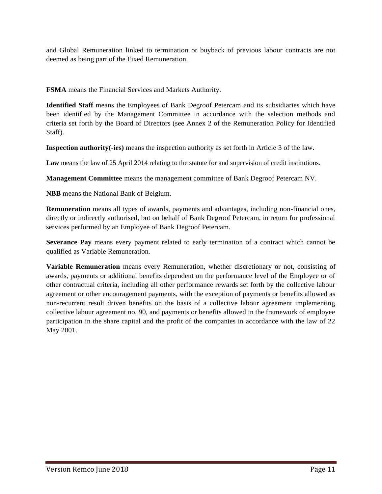and Global Remuneration linked to termination or buyback of previous labour contracts are not deemed as being part of the Fixed Remuneration.

**FSMA** means the Financial Services and Markets Authority.

**Identified Staff** means the Employees of Bank Degroof Petercam and its subsidiaries which have been identified by the Management Committee in accordance with the selection methods and criteria set forth by the Board of Directors (see Annex 2 of the Remuneration Policy for Identified Staff).

**Inspection authority(-ies)** means the inspection authority as set forth in Article 3 of the law.

**Law** means the law of 25 April 2014 relating to the statute for and supervision of credit institutions.

**Management Committee** means the management committee of Bank Degroof Petercam NV.

**NBB** means the National Bank of Belgium.

**Remuneration** means all types of awards, payments and advantages, including non-financial ones, directly or indirectly authorised, but on behalf of Bank Degroof Petercam, in return for professional services performed by an Employee of Bank Degroof Petercam.

**Severance Pay** means every payment related to early termination of a contract which cannot be qualified as Variable Remuneration.

**Variable Remuneration** means every Remuneration, whether discretionary or not, consisting of awards, payments or additional benefits dependent on the performance level of the Employee or of other contractual criteria, including all other performance rewards set forth by the collective labour agreement or other encouragement payments, with the exception of payments or benefits allowed as non-recurrent result driven benefits on the basis of a collective labour agreement implementing collective labour agreement no. 90, and payments or benefits allowed in the framework of employee participation in the share capital and the profit of the companies in accordance with the law of 22 May 2001.